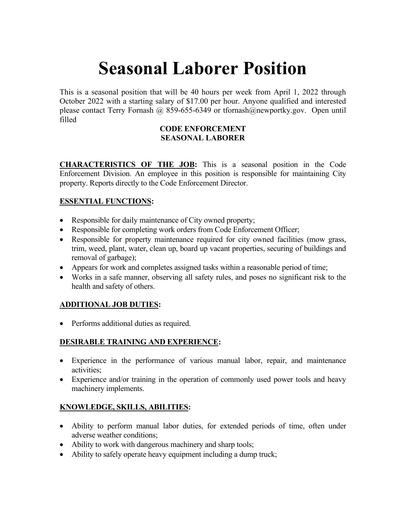# **Seasonal Laborer Position**

This is a seasonal position that will be 40 hours per week from April 1, 2022 through October 2022 with a starting salary of \$17.00 per hour. Anyone qualified and interested please contact Terry Fornash @ 859-655-6349 or tfornash@newportky.gov. Open until filled

#### **CODE ENFORCEMENT SEASONAL LABORER**

**CHARACTERISTICS OF THE JOB:** This is a seasonal position in the Code Enforcement Division. An employee in this position is responsible for maintaining City property. Reports directly to the Code Enforcement Director.

### **ESSENTIAL FUNCTIONS:**

- Responsible for daily maintenance of City owned property;
- Responsible for completing work orders from Code Enforcement Officer;
- Responsible for property maintenance required for city owned facilities (mow grass, trim, weed, plant, water, clean up, board up vacant properties, securing of buildings and removal of garbage);
- Appears for work and completes assigned tasks within a reasonable period of time;
- Works in a safe manner, observing all safety rules, and poses no significant risk to the health and safety of others.

### **ADDITIONAL JOB DUTIES:**

• Performs additional duties as required.

## **DESIRABLE TRAINING AND EXPERIENCE:**

- Experience in the performance of various manual labor, repair, and maintenance activities;
- Experience and/or training in the operation of commonly used power tools and heavy machinery implements.

### **KNOWLEDGE, SKILLS, ABILITIES:**

- Ability to perform manual labor duties, for extended periods of time, often under adverse weather conditions;
- Ability to work with dangerous machinery and sharp tools;
- Ability to safely operate heavy equipment including a dump truck;